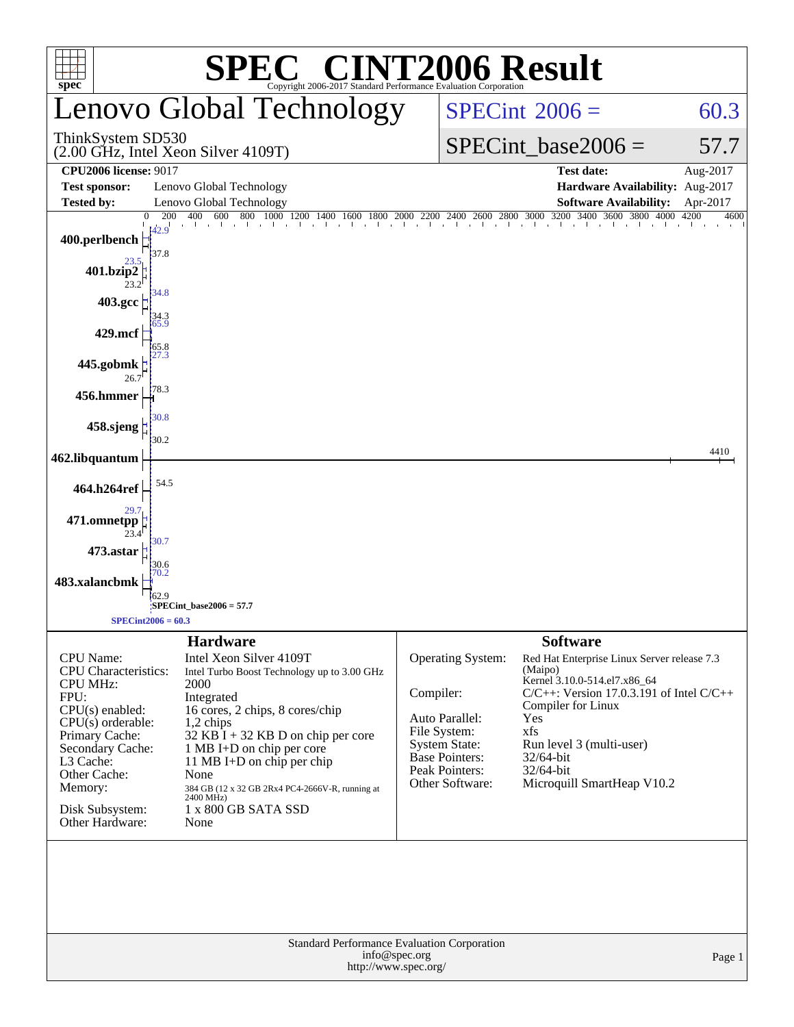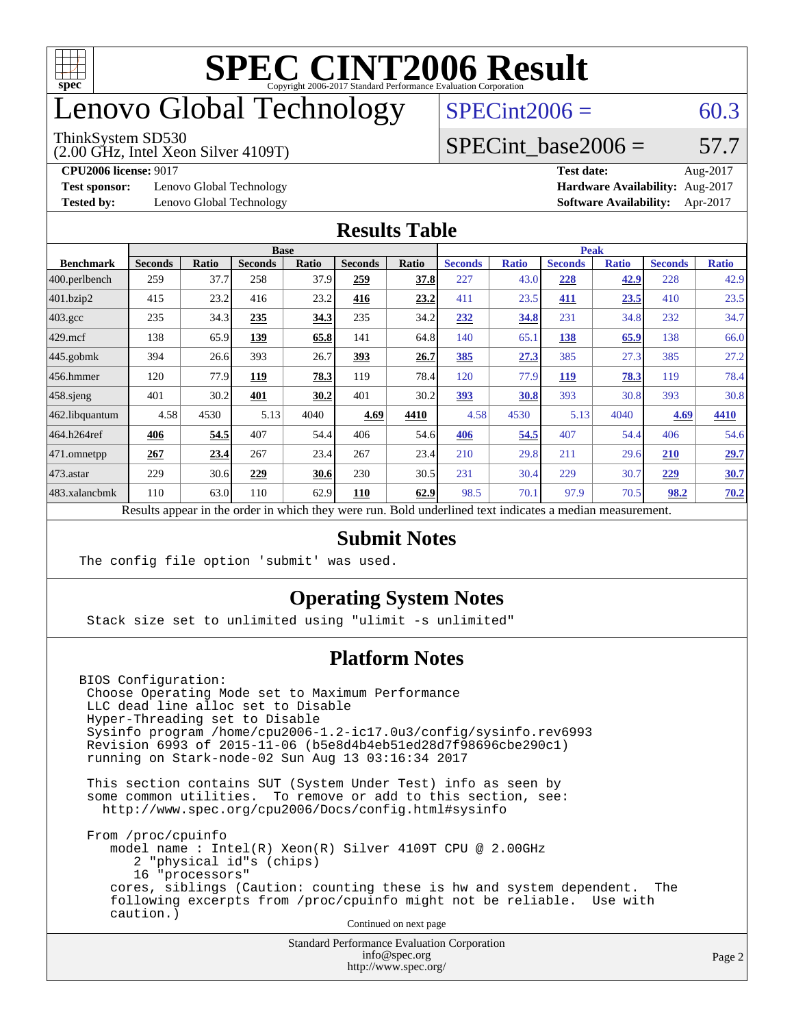

### enovo Global Technology

#### ThinkSystem SD530

(2.00 GHz, Intel Xeon Silver 4109T)

 $SPECint2006 = 60.3$  $SPECint2006 = 60.3$ 

### SPECint base2006 =  $57.7$

**[Test sponsor:](http://www.spec.org/auto/cpu2006/Docs/result-fields.html#Testsponsor)** Lenovo Global Technology **[Hardware Availability:](http://www.spec.org/auto/cpu2006/Docs/result-fields.html#HardwareAvailability)** Aug-2017

**[CPU2006 license:](http://www.spec.org/auto/cpu2006/Docs/result-fields.html#CPU2006license)** 9017 **[Test date:](http://www.spec.org/auto/cpu2006/Docs/result-fields.html#Testdate)** Aug-2017 **[Tested by:](http://www.spec.org/auto/cpu2006/Docs/result-fields.html#Testedby)** Lenovo Global Technology **[Software Availability:](http://www.spec.org/auto/cpu2006/Docs/result-fields.html#SoftwareAvailability)** Apr-2017

#### **[Results Table](http://www.spec.org/auto/cpu2006/Docs/result-fields.html#ResultsTable)**

|                                                                                                          | <b>Base</b>    |              |                |       |                | <b>Peak</b> |                |              |                |              |                |              |
|----------------------------------------------------------------------------------------------------------|----------------|--------------|----------------|-------|----------------|-------------|----------------|--------------|----------------|--------------|----------------|--------------|
| <b>Benchmark</b>                                                                                         | <b>Seconds</b> | <b>Ratio</b> | <b>Seconds</b> | Ratio | <b>Seconds</b> | Ratio       | <b>Seconds</b> | <b>Ratio</b> | <b>Seconds</b> | <b>Ratio</b> | <b>Seconds</b> | <b>Ratio</b> |
| $ 400$ .perlbench                                                                                        | 259            | 37.7         | 258            | 37.9  | 259            | 37.8        | 227            | 43.0         | 228            | 42.9         | 228            | 42.9         |
| 401.bzip2                                                                                                | 415            | 23.2         | 416            | 23.2  | 416            | 23.2        | 411            | 23.5         | 411            | 23.5         | 410            | 23.5         |
| $403.\mathrm{gcc}$                                                                                       | 235            | 34.3         | 235            | 34.3  | 235            | 34.2        | 232            | 34.8         | 231            | 34.8         | 232            | 34.7         |
| $429$ mcf                                                                                                | 138            | 65.9         | 139            | 65.8  | 141            | 64.8        | 140            | 65.1         | 138            | 65.9         | 138            | 66.0         |
| $445$ .gobmk                                                                                             | 394            | 26.6         | 393            | 26.7  | <u>393</u>     | 26.7        | 385            | 27.3         | 385            | 27.3         | 385            | 27.2         |
| $456.$ hmmer                                                                                             | 120            | 77.9         | 119            | 78.3  | 119            | 78.4        | 120            | 77.9         | <u>119</u>     | 78.3         | 119            | 78.4         |
| $458$ .sjeng                                                                                             | 401            | 30.2         | 401            | 30.2  | 401            | 30.2        | 393            | 30.8         | 393            | 30.8         | 393            | 30.8         |
| 462.libquantum                                                                                           | 4.58           | 4530         | 5.13           | 4040  | 4.69           | 4410        | 4.58           | 4530         | 5.13           | 4040         | 4.69           | 4410         |
| 464.h264ref                                                                                              | 406            | 54.5         | 407            | 54.4  | 406            | 54.6        | 406            | 54.5         | 407            | 54.4         | 406            | 54.6         |
| 471.omnetpp                                                                                              | 267            | 23.4         | 267            | 23.4  | 267            | 23.4        | 210            | 29.8         | 211            | 29.6         | <b>210</b>     | 29.7         |
| $473$ . astar                                                                                            | 229            | 30.6         | 229            | 30.6  | 230            | 30.5        | 231            | 30.4         | 229            | 30.7         | 229            | 30.7         |
| 483.xalancbmk                                                                                            | 110            | 63.0         | 110            | 62.9  | 110            | 62.9        | 98.5           | 70.1         | 97.9           | 70.5         | 98.2           | 70.2         |
| Results appear in the order in which they were run. Bold underlined text indicates a median measurement. |                |              |                |       |                |             |                |              |                |              |                |              |

#### **[Submit Notes](http://www.spec.org/auto/cpu2006/Docs/result-fields.html#SubmitNotes)**

The config file option 'submit' was used.

### **[Operating System Notes](http://www.spec.org/auto/cpu2006/Docs/result-fields.html#OperatingSystemNotes)**

Stack size set to unlimited using "ulimit -s unlimited"

### **[Platform Notes](http://www.spec.org/auto/cpu2006/Docs/result-fields.html#PlatformNotes)**

BIOS Configuration: Choose Operating Mode set to Maximum Performance LLC dead line alloc set to Disable Hyper-Threading set to Disable Sysinfo program /home/cpu2006-1.2-ic17.0u3/config/sysinfo.rev6993 Revision 6993 of 2015-11-06 (b5e8d4b4eb51ed28d7f98696cbe290c1) running on Stark-node-02 Sun Aug 13 03:16:34 2017

 This section contains SUT (System Under Test) info as seen by some common utilities. To remove or add to this section, see: <http://www.spec.org/cpu2006/Docs/config.html#sysinfo>

 From /proc/cpuinfo model name : Intel(R) Xeon(R) Silver 4109T CPU @ 2.00GHz 2 "physical id"s (chips) 16 "processors" cores, siblings (Caution: counting these is hw and system dependent. The following excerpts from /proc/cpuinfo might not be reliable. Use with caution.)

Continued on next page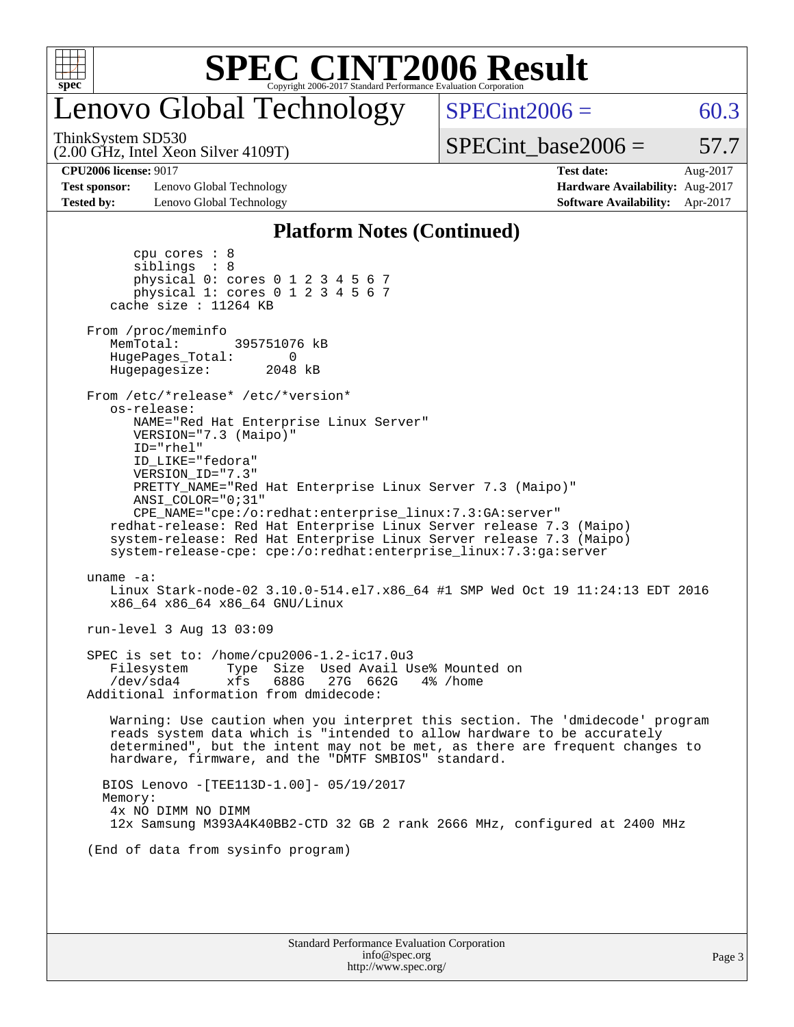

### Lenovo Global Technology

(2.00 GHz, Intel Xeon Silver 4109T) ThinkSystem SD530

 $SPECint2006 = 60.3$  $SPECint2006 = 60.3$ 

 $SPECTnt\_base2006 = 57.7$ 

**[Test sponsor:](http://www.spec.org/auto/cpu2006/Docs/result-fields.html#Testsponsor)** Lenovo Global Technology **[Hardware Availability:](http://www.spec.org/auto/cpu2006/Docs/result-fields.html#HardwareAvailability)** Aug-2017 **[Tested by:](http://www.spec.org/auto/cpu2006/Docs/result-fields.html#Testedby)** Lenovo Global Technology **[Software Availability:](http://www.spec.org/auto/cpu2006/Docs/result-fields.html#SoftwareAvailability)** Apr-2017

**[CPU2006 license:](http://www.spec.org/auto/cpu2006/Docs/result-fields.html#CPU2006license)** 9017 **[Test date:](http://www.spec.org/auto/cpu2006/Docs/result-fields.html#Testdate)** Aug-2017

### **[Platform Notes \(Continued\)](http://www.spec.org/auto/cpu2006/Docs/result-fields.html#PlatformNotes)**

| Standard Performance Evaluation Corporation<br>info@spec.org                                                                                                                                                                                                                                                                                                                                                                                                                                       | Pa |
|----------------------------------------------------------------------------------------------------------------------------------------------------------------------------------------------------------------------------------------------------------------------------------------------------------------------------------------------------------------------------------------------------------------------------------------------------------------------------------------------------|----|
|                                                                                                                                                                                                                                                                                                                                                                                                                                                                                                    |    |
| (End of data from sysinfo program)                                                                                                                                                                                                                                                                                                                                                                                                                                                                 |    |
| BIOS Lenovo - [TEE113D-1.00]- 05/19/2017<br>Memory:<br>4x NO DIMM NO DIMM<br>12x Samsung M393A4K40BB2-CTD 32 GB 2 rank 2666 MHz, configured at 2400 MHz                                                                                                                                                                                                                                                                                                                                            |    |
| Warning: Use caution when you interpret this section. The 'dmidecode' program<br>reads system data which is "intended to allow hardware to be accurately<br>determined", but the intent may not be met, as there are frequent changes to<br>hardware, firmware, and the "DMTF SMBIOS" standard.                                                                                                                                                                                                    |    |
| SPEC is set to: /home/cpu2006-1.2-ic17.0u3<br>Type Size Used Avail Use% Mounted on<br>Filesystem<br>688G<br>27G 662G<br>/dev/sda4<br>xfs<br>4% /home<br>Additional information from dmidecode:                                                                                                                                                                                                                                                                                                     |    |
| run-level 3 Aug 13 03:09                                                                                                                                                                                                                                                                                                                                                                                                                                                                           |    |
| uname $-a$ :<br>Linux Stark-node-02 3.10.0-514.el7.x86_64 #1 SMP Wed Oct 19 11:24:13 EDT 2016<br>x86_64 x86_64 x86_64 GNU/Linux                                                                                                                                                                                                                                                                                                                                                                    |    |
| os-release:<br>NAME="Red Hat Enterprise Linux Server"<br>VERSION="7.3 (Maipo)"<br>ID="rhel"<br>ID_LIKE="fedora"<br>VERSION_ID="7.3"<br>PRETTY_NAME="Red Hat Enterprise Linux Server 7.3 (Maipo)"<br>ANSI COLOR="0;31"<br>CPE_NAME="cpe:/o:redhat:enterprise_linux:7.3:GA:server"<br>redhat-release: Red Hat Enterprise Linux Server release 7.3 (Maipo)<br>system-release: Red Hat Enterprise Linux Server release 7.3 (Maipo)<br>system-release-cpe: cpe:/o:redhat:enterprise_linux:7.3:ga:server |    |
| From /proc/meminfo<br>MemTotal:<br>395751076 kB<br>HugePages_Total:<br>0<br>Hugepagesize: 2048 kB<br>From /etc/*release* /etc/*version*                                                                                                                                                                                                                                                                                                                                                            |    |
| cpu cores $: 8$<br>siblings : 8<br>physical 0: cores 0 1 2 3 4 5 6 7<br>physical 1: cores 0 1 2 3 4 5 6 7<br>cache size : 11264 KB                                                                                                                                                                                                                                                                                                                                                                 |    |

<http://www.spec.org/>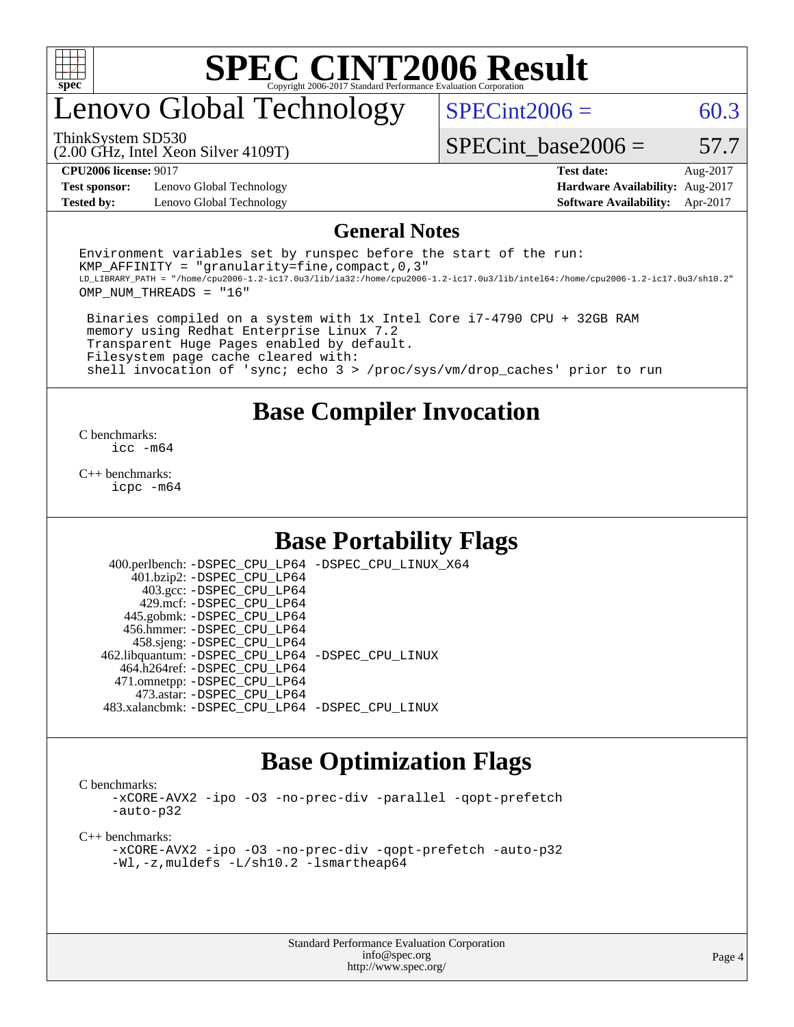

### enovo Global Technology

 $SPECint2006 = 60.3$  $SPECint2006 = 60.3$ 

(2.00 GHz, Intel Xeon Silver 4109T) ThinkSystem SD530

SPECint base2006 =  $57.7$ 

**[Test sponsor:](http://www.spec.org/auto/cpu2006/Docs/result-fields.html#Testsponsor)** Lenovo Global Technology **[Hardware Availability:](http://www.spec.org/auto/cpu2006/Docs/result-fields.html#HardwareAvailability)** Aug-2017 **[Tested by:](http://www.spec.org/auto/cpu2006/Docs/result-fields.html#Testedby)** Lenovo Global Technology **[Software Availability:](http://www.spec.org/auto/cpu2006/Docs/result-fields.html#SoftwareAvailability)** Apr-2017

**[CPU2006 license:](http://www.spec.org/auto/cpu2006/Docs/result-fields.html#CPU2006license)** 9017 **[Test date:](http://www.spec.org/auto/cpu2006/Docs/result-fields.html#Testdate)** Aug-2017

#### **[General Notes](http://www.spec.org/auto/cpu2006/Docs/result-fields.html#GeneralNotes)**

Environment variables set by runspec before the start of the run: KMP AFFINITY = "granularity=fine, compact,  $0,3$ " LD\_LIBRARY\_PATH = "/home/cpu2006-1.2-ic17.0u3/lib/ia32:/home/cpu2006-1.2-ic17.0u3/lib/intel64:/home/cpu2006-1.2-ic17.0u3/sh10.2" OMP\_NUM\_THREADS = "16"

 Binaries compiled on a system with 1x Intel Core i7-4790 CPU + 32GB RAM memory using Redhat Enterprise Linux 7.2 Transparent Huge Pages enabled by default. Filesystem page cache cleared with: shell invocation of 'sync; echo 3 > /proc/sys/vm/drop\_caches' prior to run

### **[Base Compiler Invocation](http://www.spec.org/auto/cpu2006/Docs/result-fields.html#BaseCompilerInvocation)**

[C benchmarks](http://www.spec.org/auto/cpu2006/Docs/result-fields.html#Cbenchmarks): [icc -m64](http://www.spec.org/cpu2006/results/res2017q4/cpu2006-20170918-49610.flags.html#user_CCbase_intel_icc_64bit_bda6cc9af1fdbb0edc3795bac97ada53)

[C++ benchmarks:](http://www.spec.org/auto/cpu2006/Docs/result-fields.html#CXXbenchmarks) [icpc -m64](http://www.spec.org/cpu2006/results/res2017q4/cpu2006-20170918-49610.flags.html#user_CXXbase_intel_icpc_64bit_fc66a5337ce925472a5c54ad6a0de310)

### **[Base Portability Flags](http://www.spec.org/auto/cpu2006/Docs/result-fields.html#BasePortabilityFlags)**

 400.perlbench: [-DSPEC\\_CPU\\_LP64](http://www.spec.org/cpu2006/results/res2017q4/cpu2006-20170918-49610.flags.html#b400.perlbench_basePORTABILITY_DSPEC_CPU_LP64) [-DSPEC\\_CPU\\_LINUX\\_X64](http://www.spec.org/cpu2006/results/res2017q4/cpu2006-20170918-49610.flags.html#b400.perlbench_baseCPORTABILITY_DSPEC_CPU_LINUX_X64) 401.bzip2: [-DSPEC\\_CPU\\_LP64](http://www.spec.org/cpu2006/results/res2017q4/cpu2006-20170918-49610.flags.html#suite_basePORTABILITY401_bzip2_DSPEC_CPU_LP64) 403.gcc: [-DSPEC\\_CPU\\_LP64](http://www.spec.org/cpu2006/results/res2017q4/cpu2006-20170918-49610.flags.html#suite_basePORTABILITY403_gcc_DSPEC_CPU_LP64) 429.mcf: [-DSPEC\\_CPU\\_LP64](http://www.spec.org/cpu2006/results/res2017q4/cpu2006-20170918-49610.flags.html#suite_basePORTABILITY429_mcf_DSPEC_CPU_LP64) 445.gobmk: [-DSPEC\\_CPU\\_LP64](http://www.spec.org/cpu2006/results/res2017q4/cpu2006-20170918-49610.flags.html#suite_basePORTABILITY445_gobmk_DSPEC_CPU_LP64) 456.hmmer: [-DSPEC\\_CPU\\_LP64](http://www.spec.org/cpu2006/results/res2017q4/cpu2006-20170918-49610.flags.html#suite_basePORTABILITY456_hmmer_DSPEC_CPU_LP64) 458.sjeng: [-DSPEC\\_CPU\\_LP64](http://www.spec.org/cpu2006/results/res2017q4/cpu2006-20170918-49610.flags.html#suite_basePORTABILITY458_sjeng_DSPEC_CPU_LP64) 462.libquantum: [-DSPEC\\_CPU\\_LP64](http://www.spec.org/cpu2006/results/res2017q4/cpu2006-20170918-49610.flags.html#suite_basePORTABILITY462_libquantum_DSPEC_CPU_LP64) [-DSPEC\\_CPU\\_LINUX](http://www.spec.org/cpu2006/results/res2017q4/cpu2006-20170918-49610.flags.html#b462.libquantum_baseCPORTABILITY_DSPEC_CPU_LINUX) 464.h264ref: [-DSPEC\\_CPU\\_LP64](http://www.spec.org/cpu2006/results/res2017q4/cpu2006-20170918-49610.flags.html#suite_basePORTABILITY464_h264ref_DSPEC_CPU_LP64) 471.omnetpp: [-DSPEC\\_CPU\\_LP64](http://www.spec.org/cpu2006/results/res2017q4/cpu2006-20170918-49610.flags.html#suite_basePORTABILITY471_omnetpp_DSPEC_CPU_LP64) 473.astar: [-DSPEC\\_CPU\\_LP64](http://www.spec.org/cpu2006/results/res2017q4/cpu2006-20170918-49610.flags.html#suite_basePORTABILITY473_astar_DSPEC_CPU_LP64) 483.xalancbmk: [-DSPEC\\_CPU\\_LP64](http://www.spec.org/cpu2006/results/res2017q4/cpu2006-20170918-49610.flags.html#suite_basePORTABILITY483_xalancbmk_DSPEC_CPU_LP64) [-DSPEC\\_CPU\\_LINUX](http://www.spec.org/cpu2006/results/res2017q4/cpu2006-20170918-49610.flags.html#b483.xalancbmk_baseCXXPORTABILITY_DSPEC_CPU_LINUX)

### **[Base Optimization Flags](http://www.spec.org/auto/cpu2006/Docs/result-fields.html#BaseOptimizationFlags)**

[C benchmarks](http://www.spec.org/auto/cpu2006/Docs/result-fields.html#Cbenchmarks):

[-xCORE-AVX2](http://www.spec.org/cpu2006/results/res2017q4/cpu2006-20170918-49610.flags.html#user_CCbase_f-xCORE-AVX2) [-ipo](http://www.spec.org/cpu2006/results/res2017q4/cpu2006-20170918-49610.flags.html#user_CCbase_f-ipo) [-O3](http://www.spec.org/cpu2006/results/res2017q4/cpu2006-20170918-49610.flags.html#user_CCbase_f-O3) [-no-prec-div](http://www.spec.org/cpu2006/results/res2017q4/cpu2006-20170918-49610.flags.html#user_CCbase_f-no-prec-div) [-parallel](http://www.spec.org/cpu2006/results/res2017q4/cpu2006-20170918-49610.flags.html#user_CCbase_f-parallel) [-qopt-prefetch](http://www.spec.org/cpu2006/results/res2017q4/cpu2006-20170918-49610.flags.html#user_CCbase_f-qopt-prefetch) [-auto-p32](http://www.spec.org/cpu2006/results/res2017q4/cpu2006-20170918-49610.flags.html#user_CCbase_f-auto-p32)

[C++ benchmarks:](http://www.spec.org/auto/cpu2006/Docs/result-fields.html#CXXbenchmarks)

[-xCORE-AVX2](http://www.spec.org/cpu2006/results/res2017q4/cpu2006-20170918-49610.flags.html#user_CXXbase_f-xCORE-AVX2) [-ipo](http://www.spec.org/cpu2006/results/res2017q4/cpu2006-20170918-49610.flags.html#user_CXXbase_f-ipo) [-O3](http://www.spec.org/cpu2006/results/res2017q4/cpu2006-20170918-49610.flags.html#user_CXXbase_f-O3) [-no-prec-div](http://www.spec.org/cpu2006/results/res2017q4/cpu2006-20170918-49610.flags.html#user_CXXbase_f-no-prec-div) [-qopt-prefetch](http://www.spec.org/cpu2006/results/res2017q4/cpu2006-20170918-49610.flags.html#user_CXXbase_f-qopt-prefetch) [-auto-p32](http://www.spec.org/cpu2006/results/res2017q4/cpu2006-20170918-49610.flags.html#user_CXXbase_f-auto-p32) [-Wl,-z,muldefs](http://www.spec.org/cpu2006/results/res2017q4/cpu2006-20170918-49610.flags.html#user_CXXbase_link_force_multiple1_74079c344b956b9658436fd1b6dd3a8a) [-L/sh10.2 -lsmartheap64](http://www.spec.org/cpu2006/results/res2017q4/cpu2006-20170918-49610.flags.html#user_CXXbase_SmartHeap64_63911d860fc08c15fa1d5bf319b9d8d5)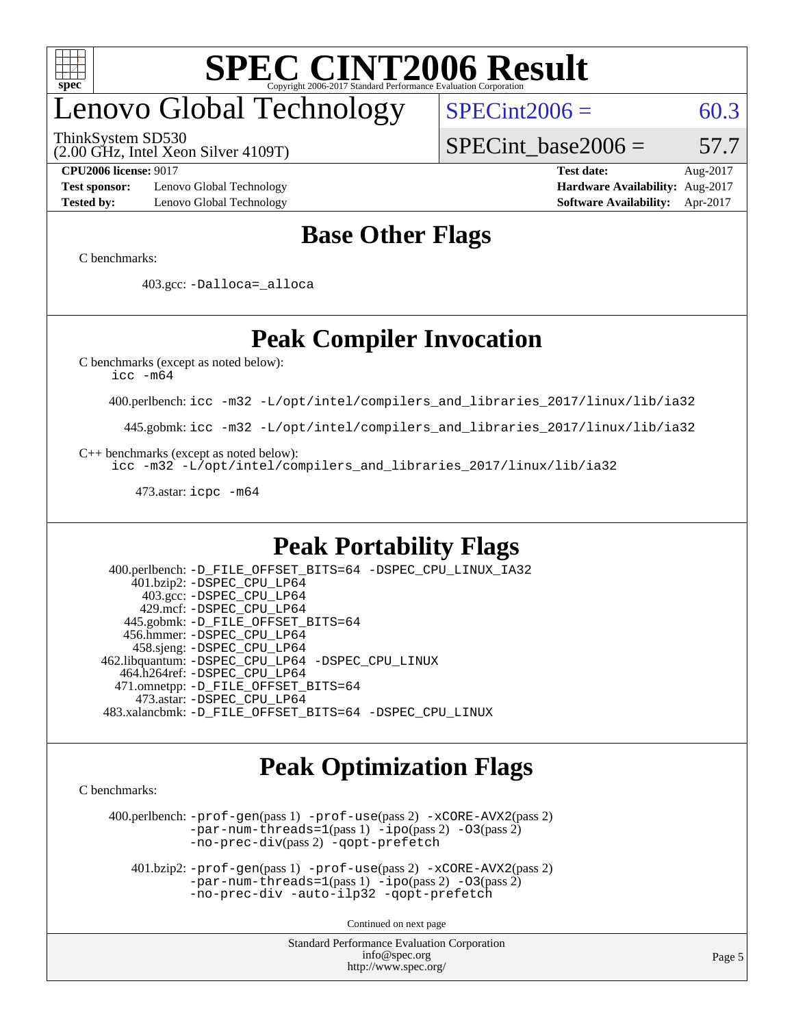

### enovo Global Technology

ThinkSystem SD530

 $SPECint2006 = 60.3$  $SPECint2006 = 60.3$ 

(2.00 GHz, Intel Xeon Silver 4109T)

SPECint base2006 =  $57.7$ 

**[Test sponsor:](http://www.spec.org/auto/cpu2006/Docs/result-fields.html#Testsponsor)** Lenovo Global Technology **[Hardware Availability:](http://www.spec.org/auto/cpu2006/Docs/result-fields.html#HardwareAvailability)** Aug-2017 **[Tested by:](http://www.spec.org/auto/cpu2006/Docs/result-fields.html#Testedby)** Lenovo Global Technology **[Software Availability:](http://www.spec.org/auto/cpu2006/Docs/result-fields.html#SoftwareAvailability)** Apr-2017

**[CPU2006 license:](http://www.spec.org/auto/cpu2006/Docs/result-fields.html#CPU2006license)** 9017 **[Test date:](http://www.spec.org/auto/cpu2006/Docs/result-fields.html#Testdate)** Aug-2017

### **[Base Other Flags](http://www.spec.org/auto/cpu2006/Docs/result-fields.html#BaseOtherFlags)**

[C benchmarks](http://www.spec.org/auto/cpu2006/Docs/result-fields.html#Cbenchmarks):

403.gcc: [-Dalloca=\\_alloca](http://www.spec.org/cpu2006/results/res2017q4/cpu2006-20170918-49610.flags.html#b403.gcc_baseEXTRA_CFLAGS_Dalloca_be3056838c12de2578596ca5467af7f3)

### **[Peak Compiler Invocation](http://www.spec.org/auto/cpu2006/Docs/result-fields.html#PeakCompilerInvocation)**

[C benchmarks \(except as noted below\)](http://www.spec.org/auto/cpu2006/Docs/result-fields.html#Cbenchmarksexceptasnotedbelow):

[icc -m64](http://www.spec.org/cpu2006/results/res2017q4/cpu2006-20170918-49610.flags.html#user_CCpeak_intel_icc_64bit_bda6cc9af1fdbb0edc3795bac97ada53)

400.perlbench: [icc -m32 -L/opt/intel/compilers\\_and\\_libraries\\_2017/linux/lib/ia32](http://www.spec.org/cpu2006/results/res2017q4/cpu2006-20170918-49610.flags.html#user_peakCCLD400_perlbench_intel_icc_c29f3ff5a7ed067b11e4ec10a03f03ae)

445.gobmk: [icc -m32 -L/opt/intel/compilers\\_and\\_libraries\\_2017/linux/lib/ia32](http://www.spec.org/cpu2006/results/res2017q4/cpu2006-20170918-49610.flags.html#user_peakCCLD445_gobmk_intel_icc_c29f3ff5a7ed067b11e4ec10a03f03ae)

[C++ benchmarks \(except as noted below\):](http://www.spec.org/auto/cpu2006/Docs/result-fields.html#CXXbenchmarksexceptasnotedbelow)

[icc -m32 -L/opt/intel/compilers\\_and\\_libraries\\_2017/linux/lib/ia32](http://www.spec.org/cpu2006/results/res2017q4/cpu2006-20170918-49610.flags.html#user_CXXpeak_intel_icc_c29f3ff5a7ed067b11e4ec10a03f03ae)

473.astar: [icpc -m64](http://www.spec.org/cpu2006/results/res2017q4/cpu2006-20170918-49610.flags.html#user_peakCXXLD473_astar_intel_icpc_64bit_fc66a5337ce925472a5c54ad6a0de310)

### **[Peak Portability Flags](http://www.spec.org/auto/cpu2006/Docs/result-fields.html#PeakPortabilityFlags)**

 400.perlbench: [-D\\_FILE\\_OFFSET\\_BITS=64](http://www.spec.org/cpu2006/results/res2017q4/cpu2006-20170918-49610.flags.html#user_peakPORTABILITY400_perlbench_file_offset_bits_64_438cf9856305ebd76870a2c6dc2689ab) [-DSPEC\\_CPU\\_LINUX\\_IA32](http://www.spec.org/cpu2006/results/res2017q4/cpu2006-20170918-49610.flags.html#b400.perlbench_peakCPORTABILITY_DSPEC_CPU_LINUX_IA32) 401.bzip2: [-DSPEC\\_CPU\\_LP64](http://www.spec.org/cpu2006/results/res2017q4/cpu2006-20170918-49610.flags.html#suite_peakPORTABILITY401_bzip2_DSPEC_CPU_LP64) 403.gcc: [-DSPEC\\_CPU\\_LP64](http://www.spec.org/cpu2006/results/res2017q4/cpu2006-20170918-49610.flags.html#suite_peakPORTABILITY403_gcc_DSPEC_CPU_LP64) 429.mcf: [-DSPEC\\_CPU\\_LP64](http://www.spec.org/cpu2006/results/res2017q4/cpu2006-20170918-49610.flags.html#suite_peakPORTABILITY429_mcf_DSPEC_CPU_LP64) 445.gobmk: [-D\\_FILE\\_OFFSET\\_BITS=64](http://www.spec.org/cpu2006/results/res2017q4/cpu2006-20170918-49610.flags.html#user_peakPORTABILITY445_gobmk_file_offset_bits_64_438cf9856305ebd76870a2c6dc2689ab) 456.hmmer: [-DSPEC\\_CPU\\_LP64](http://www.spec.org/cpu2006/results/res2017q4/cpu2006-20170918-49610.flags.html#suite_peakPORTABILITY456_hmmer_DSPEC_CPU_LP64) 458.sjeng: [-DSPEC\\_CPU\\_LP64](http://www.spec.org/cpu2006/results/res2017q4/cpu2006-20170918-49610.flags.html#suite_peakPORTABILITY458_sjeng_DSPEC_CPU_LP64) 462.libquantum: [-DSPEC\\_CPU\\_LP64](http://www.spec.org/cpu2006/results/res2017q4/cpu2006-20170918-49610.flags.html#suite_peakPORTABILITY462_libquantum_DSPEC_CPU_LP64) [-DSPEC\\_CPU\\_LINUX](http://www.spec.org/cpu2006/results/res2017q4/cpu2006-20170918-49610.flags.html#b462.libquantum_peakCPORTABILITY_DSPEC_CPU_LINUX) 464.h264ref: [-DSPEC\\_CPU\\_LP64](http://www.spec.org/cpu2006/results/res2017q4/cpu2006-20170918-49610.flags.html#suite_peakPORTABILITY464_h264ref_DSPEC_CPU_LP64) 471.omnetpp: [-D\\_FILE\\_OFFSET\\_BITS=64](http://www.spec.org/cpu2006/results/res2017q4/cpu2006-20170918-49610.flags.html#user_peakPORTABILITY471_omnetpp_file_offset_bits_64_438cf9856305ebd76870a2c6dc2689ab) 473.astar: [-DSPEC\\_CPU\\_LP64](http://www.spec.org/cpu2006/results/res2017q4/cpu2006-20170918-49610.flags.html#suite_peakPORTABILITY473_astar_DSPEC_CPU_LP64) 483.xalancbmk: [-D\\_FILE\\_OFFSET\\_BITS=64](http://www.spec.org/cpu2006/results/res2017q4/cpu2006-20170918-49610.flags.html#user_peakPORTABILITY483_xalancbmk_file_offset_bits_64_438cf9856305ebd76870a2c6dc2689ab) [-DSPEC\\_CPU\\_LINUX](http://www.spec.org/cpu2006/results/res2017q4/cpu2006-20170918-49610.flags.html#b483.xalancbmk_peakCXXPORTABILITY_DSPEC_CPU_LINUX)

### **[Peak Optimization Flags](http://www.spec.org/auto/cpu2006/Docs/result-fields.html#PeakOptimizationFlags)**

[C benchmarks](http://www.spec.org/auto/cpu2006/Docs/result-fields.html#Cbenchmarks):

 400.perlbench: [-prof-gen](http://www.spec.org/cpu2006/results/res2017q4/cpu2006-20170918-49610.flags.html#user_peakPASS1_CFLAGSPASS1_LDCFLAGS400_perlbench_prof_gen_e43856698f6ca7b7e442dfd80e94a8fc)(pass 1) [-prof-use](http://www.spec.org/cpu2006/results/res2017q4/cpu2006-20170918-49610.flags.html#user_peakPASS2_CFLAGSPASS2_LDCFLAGS400_perlbench_prof_use_bccf7792157ff70d64e32fe3e1250b55)(pass 2) [-xCORE-AVX2](http://www.spec.org/cpu2006/results/res2017q4/cpu2006-20170918-49610.flags.html#user_peakPASS2_CFLAGSPASS2_LDCFLAGS400_perlbench_f-xCORE-AVX2)(pass 2) [-par-num-threads=1](http://www.spec.org/cpu2006/results/res2017q4/cpu2006-20170918-49610.flags.html#user_peakPASS1_CFLAGSPASS1_LDCFLAGS400_perlbench_par_num_threads_786a6ff141b4e9e90432e998842df6c2)(pass 1) [-ipo](http://www.spec.org/cpu2006/results/res2017q4/cpu2006-20170918-49610.flags.html#user_peakPASS2_CFLAGSPASS2_LDCFLAGS400_perlbench_f-ipo)(pass 2) [-O3](http://www.spec.org/cpu2006/results/res2017q4/cpu2006-20170918-49610.flags.html#user_peakPASS2_CFLAGSPASS2_LDCFLAGS400_perlbench_f-O3)(pass 2) [-no-prec-div](http://www.spec.org/cpu2006/results/res2017q4/cpu2006-20170918-49610.flags.html#user_peakPASS2_CFLAGSPASS2_LDCFLAGS400_perlbench_f-no-prec-div)(pass 2) [-qopt-prefetch](http://www.spec.org/cpu2006/results/res2017q4/cpu2006-20170918-49610.flags.html#user_peakCOPTIMIZE400_perlbench_f-qopt-prefetch)

 401.bzip2: [-prof-gen](http://www.spec.org/cpu2006/results/res2017q4/cpu2006-20170918-49610.flags.html#user_peakPASS1_CFLAGSPASS1_LDCFLAGS401_bzip2_prof_gen_e43856698f6ca7b7e442dfd80e94a8fc)(pass 1) [-prof-use](http://www.spec.org/cpu2006/results/res2017q4/cpu2006-20170918-49610.flags.html#user_peakPASS2_CFLAGSPASS2_LDCFLAGS401_bzip2_prof_use_bccf7792157ff70d64e32fe3e1250b55)(pass 2) [-xCORE-AVX2](http://www.spec.org/cpu2006/results/res2017q4/cpu2006-20170918-49610.flags.html#user_peakPASS2_CFLAGSPASS2_LDCFLAGS401_bzip2_f-xCORE-AVX2)(pass 2)  $-par-num-threads=1(pass 1) -ipo(pass 2) -O3(pass 2)$  $-par-num-threads=1(pass 1) -ipo(pass 2) -O3(pass 2)$  $-par-num-threads=1(pass 1) -ipo(pass 2) -O3(pass 2)$  $-par-num-threads=1(pass 1) -ipo(pass 2) -O3(pass 2)$  $-par-num-threads=1(pass 1) -ipo(pass 2) -O3(pass 2)$  $-par-num-threads=1(pass 1) -ipo(pass 2) -O3(pass 2)$ [-no-prec-div](http://www.spec.org/cpu2006/results/res2017q4/cpu2006-20170918-49610.flags.html#user_peakCOPTIMIZEPASS2_CFLAGSPASS2_LDCFLAGS401_bzip2_f-no-prec-div) [-auto-ilp32](http://www.spec.org/cpu2006/results/res2017q4/cpu2006-20170918-49610.flags.html#user_peakCOPTIMIZE401_bzip2_f-auto-ilp32) [-qopt-prefetch](http://www.spec.org/cpu2006/results/res2017q4/cpu2006-20170918-49610.flags.html#user_peakCOPTIMIZE401_bzip2_f-qopt-prefetch)

Continued on next page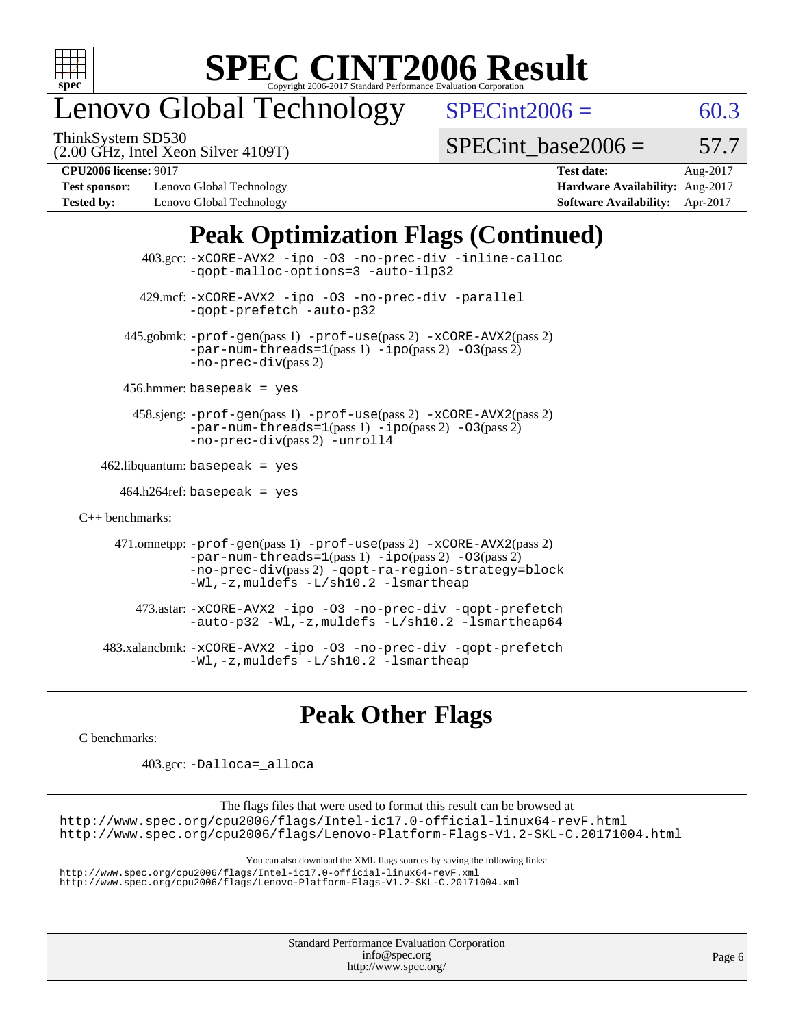

### enovo Global Technology

ThinkSystem SD530

 $SPECint2006 = 60.3$  $SPECint2006 = 60.3$ 

(2.00 GHz, Intel Xeon Silver 4109T)

SPECint base2006 =  $57.7$ 

**[Test sponsor:](http://www.spec.org/auto/cpu2006/Docs/result-fields.html#Testsponsor)** Lenovo Global Technology **[Hardware Availability:](http://www.spec.org/auto/cpu2006/Docs/result-fields.html#HardwareAvailability)** Aug-2017 **[Tested by:](http://www.spec.org/auto/cpu2006/Docs/result-fields.html#Testedby)** Lenovo Global Technology **[Software Availability:](http://www.spec.org/auto/cpu2006/Docs/result-fields.html#SoftwareAvailability)** Apr-2017

**[CPU2006 license:](http://www.spec.org/auto/cpu2006/Docs/result-fields.html#CPU2006license)** 9017 **[Test date:](http://www.spec.org/auto/cpu2006/Docs/result-fields.html#Testdate)** Aug-2017

### **[Peak Optimization Flags \(Continued\)](http://www.spec.org/auto/cpu2006/Docs/result-fields.html#PeakOptimizationFlags)**

 403.gcc: [-xCORE-AVX2](http://www.spec.org/cpu2006/results/res2017q4/cpu2006-20170918-49610.flags.html#user_peakOPTIMIZE403_gcc_f-xCORE-AVX2) [-ipo](http://www.spec.org/cpu2006/results/res2017q4/cpu2006-20170918-49610.flags.html#user_peakOPTIMIZE403_gcc_f-ipo) [-O3](http://www.spec.org/cpu2006/results/res2017q4/cpu2006-20170918-49610.flags.html#user_peakOPTIMIZE403_gcc_f-O3) [-no-prec-div](http://www.spec.org/cpu2006/results/res2017q4/cpu2006-20170918-49610.flags.html#user_peakOPTIMIZE403_gcc_f-no-prec-div) [-inline-calloc](http://www.spec.org/cpu2006/results/res2017q4/cpu2006-20170918-49610.flags.html#user_peakCOPTIMIZE403_gcc_f-inline-calloc) [-qopt-malloc-options=3](http://www.spec.org/cpu2006/results/res2017q4/cpu2006-20170918-49610.flags.html#user_peakCOPTIMIZE403_gcc_f-qopt-malloc-options_0fcb435012e78f27d57f473818e45fe4) [-auto-ilp32](http://www.spec.org/cpu2006/results/res2017q4/cpu2006-20170918-49610.flags.html#user_peakCOPTIMIZE403_gcc_f-auto-ilp32) 429.mcf: [-xCORE-AVX2](http://www.spec.org/cpu2006/results/res2017q4/cpu2006-20170918-49610.flags.html#user_peakOPTIMIZE429_mcf_f-xCORE-AVX2) [-ipo](http://www.spec.org/cpu2006/results/res2017q4/cpu2006-20170918-49610.flags.html#user_peakOPTIMIZE429_mcf_f-ipo) [-O3](http://www.spec.org/cpu2006/results/res2017q4/cpu2006-20170918-49610.flags.html#user_peakOPTIMIZE429_mcf_f-O3) [-no-prec-div](http://www.spec.org/cpu2006/results/res2017q4/cpu2006-20170918-49610.flags.html#user_peakOPTIMIZE429_mcf_f-no-prec-div) [-parallel](http://www.spec.org/cpu2006/results/res2017q4/cpu2006-20170918-49610.flags.html#user_peakCOPTIMIZE429_mcf_f-parallel) [-qopt-prefetch](http://www.spec.org/cpu2006/results/res2017q4/cpu2006-20170918-49610.flags.html#user_peakCOPTIMIZE429_mcf_f-qopt-prefetch) [-auto-p32](http://www.spec.org/cpu2006/results/res2017q4/cpu2006-20170918-49610.flags.html#user_peakCOPTIMIZE429_mcf_f-auto-p32) 445.gobmk: [-prof-gen](http://www.spec.org/cpu2006/results/res2017q4/cpu2006-20170918-49610.flags.html#user_peakPASS1_CFLAGSPASS1_LDCFLAGS445_gobmk_prof_gen_e43856698f6ca7b7e442dfd80e94a8fc)(pass 1) [-prof-use](http://www.spec.org/cpu2006/results/res2017q4/cpu2006-20170918-49610.flags.html#user_peakPASS2_CFLAGSPASS2_LDCFLAGS445_gobmk_prof_use_bccf7792157ff70d64e32fe3e1250b55)(pass 2) [-xCORE-AVX2](http://www.spec.org/cpu2006/results/res2017q4/cpu2006-20170918-49610.flags.html#user_peakPASS2_CFLAGSPASS2_LDCFLAGS445_gobmk_f-xCORE-AVX2)(pass 2)  $-par-num-threads=1(pass 1) -ipo(pass 2) -O3(pass 2)$  $-par-num-threads=1(pass 1) -ipo(pass 2) -O3(pass 2)$  $-par-num-threads=1(pass 1) -ipo(pass 2) -O3(pass 2)$  $-par-num-threads=1(pass 1) -ipo(pass 2) -O3(pass 2)$  $-par-num-threads=1(pass 1) -ipo(pass 2) -O3(pass 2)$  $-par-num-threads=1(pass 1) -ipo(pass 2) -O3(pass 2)$ [-no-prec-div](http://www.spec.org/cpu2006/results/res2017q4/cpu2006-20170918-49610.flags.html#user_peakPASS2_CFLAGSPASS2_LDCFLAGS445_gobmk_f-no-prec-div)(pass 2) 456.hmmer: basepeak = yes 458.sjeng: [-prof-gen](http://www.spec.org/cpu2006/results/res2017q4/cpu2006-20170918-49610.flags.html#user_peakPASS1_CFLAGSPASS1_LDCFLAGS458_sjeng_prof_gen_e43856698f6ca7b7e442dfd80e94a8fc)(pass 1) [-prof-use](http://www.spec.org/cpu2006/results/res2017q4/cpu2006-20170918-49610.flags.html#user_peakPASS2_CFLAGSPASS2_LDCFLAGS458_sjeng_prof_use_bccf7792157ff70d64e32fe3e1250b55)(pass 2) [-xCORE-AVX2](http://www.spec.org/cpu2006/results/res2017q4/cpu2006-20170918-49610.flags.html#user_peakPASS2_CFLAGSPASS2_LDCFLAGS458_sjeng_f-xCORE-AVX2)(pass 2) [-par-num-threads=1](http://www.spec.org/cpu2006/results/res2017q4/cpu2006-20170918-49610.flags.html#user_peakPASS1_CFLAGSPASS1_LDCFLAGS458_sjeng_par_num_threads_786a6ff141b4e9e90432e998842df6c2)(pass 1) [-ipo](http://www.spec.org/cpu2006/results/res2017q4/cpu2006-20170918-49610.flags.html#user_peakPASS2_CFLAGSPASS2_LDCFLAGS458_sjeng_f-ipo)(pass 2) [-O3](http://www.spec.org/cpu2006/results/res2017q4/cpu2006-20170918-49610.flags.html#user_peakPASS2_CFLAGSPASS2_LDCFLAGS458_sjeng_f-O3)(pass 2) [-no-prec-div](http://www.spec.org/cpu2006/results/res2017q4/cpu2006-20170918-49610.flags.html#user_peakPASS2_CFLAGSPASS2_LDCFLAGS458_sjeng_f-no-prec-div)(pass 2) [-unroll4](http://www.spec.org/cpu2006/results/res2017q4/cpu2006-20170918-49610.flags.html#user_peakCOPTIMIZE458_sjeng_f-unroll_4e5e4ed65b7fd20bdcd365bec371b81f)  $462$ .libquantum: basepeak = yes  $464.h264$ ref: basepeak = yes [C++ benchmarks:](http://www.spec.org/auto/cpu2006/Docs/result-fields.html#CXXbenchmarks) 471.omnetpp: [-prof-gen](http://www.spec.org/cpu2006/results/res2017q4/cpu2006-20170918-49610.flags.html#user_peakPASS1_CXXFLAGSPASS1_LDCXXFLAGS471_omnetpp_prof_gen_e43856698f6ca7b7e442dfd80e94a8fc)(pass 1) [-prof-use](http://www.spec.org/cpu2006/results/res2017q4/cpu2006-20170918-49610.flags.html#user_peakPASS2_CXXFLAGSPASS2_LDCXXFLAGS471_omnetpp_prof_use_bccf7792157ff70d64e32fe3e1250b55)(pass 2) [-xCORE-AVX2](http://www.spec.org/cpu2006/results/res2017q4/cpu2006-20170918-49610.flags.html#user_peakPASS2_CXXFLAGSPASS2_LDCXXFLAGS471_omnetpp_f-xCORE-AVX2)(pass 2)  $-par-num-threads=1(pass 1) -ipo(pass 2) -O3(pass 2)$  $-par-num-threads=1(pass 1) -ipo(pass 2) -O3(pass 2)$  $-par-num-threads=1(pass 1) -ipo(pass 2) -O3(pass 2)$  $-par-num-threads=1(pass 1) -ipo(pass 2) -O3(pass 2)$  $-par-num-threads=1(pass 1) -ipo(pass 2) -O3(pass 2)$  $-par-num-threads=1(pass 1) -ipo(pass 2) -O3(pass 2)$ [-no-prec-div](http://www.spec.org/cpu2006/results/res2017q4/cpu2006-20170918-49610.flags.html#user_peakPASS2_CXXFLAGSPASS2_LDCXXFLAGS471_omnetpp_f-no-prec-div)(pass 2) [-qopt-ra-region-strategy=block](http://www.spec.org/cpu2006/results/res2017q4/cpu2006-20170918-49610.flags.html#user_peakCXXOPTIMIZE471_omnetpp_f-qopt-ra-region-strategy_0f7b543d62da454b380160c0e3b28f94) [-Wl,-z,muldefs](http://www.spec.org/cpu2006/results/res2017q4/cpu2006-20170918-49610.flags.html#user_peakEXTRA_LDFLAGS471_omnetpp_link_force_multiple1_74079c344b956b9658436fd1b6dd3a8a) [-L/sh10.2 -lsmartheap](http://www.spec.org/cpu2006/results/res2017q4/cpu2006-20170918-49610.flags.html#user_peakEXTRA_LIBS471_omnetpp_SmartHeap_b831f2d313e2fffa6dfe3f00ffc1f1c0) 473.astar: [-xCORE-AVX2](http://www.spec.org/cpu2006/results/res2017q4/cpu2006-20170918-49610.flags.html#user_peakOPTIMIZE473_astar_f-xCORE-AVX2) [-ipo](http://www.spec.org/cpu2006/results/res2017q4/cpu2006-20170918-49610.flags.html#user_peakOPTIMIZE473_astar_f-ipo) [-O3](http://www.spec.org/cpu2006/results/res2017q4/cpu2006-20170918-49610.flags.html#user_peakOPTIMIZE473_astar_f-O3) [-no-prec-div](http://www.spec.org/cpu2006/results/res2017q4/cpu2006-20170918-49610.flags.html#user_peakOPTIMIZE473_astar_f-no-prec-div) [-qopt-prefetch](http://www.spec.org/cpu2006/results/res2017q4/cpu2006-20170918-49610.flags.html#user_peakCXXOPTIMIZE473_astar_f-qopt-prefetch) [-auto-p32](http://www.spec.org/cpu2006/results/res2017q4/cpu2006-20170918-49610.flags.html#user_peakCXXOPTIMIZE473_astar_f-auto-p32) [-Wl,-z,muldefs](http://www.spec.org/cpu2006/results/res2017q4/cpu2006-20170918-49610.flags.html#user_peakEXTRA_LDFLAGS473_astar_link_force_multiple1_74079c344b956b9658436fd1b6dd3a8a) [-L/sh10.2 -lsmartheap64](http://www.spec.org/cpu2006/results/res2017q4/cpu2006-20170918-49610.flags.html#user_peakEXTRA_LIBS473_astar_SmartHeap64_63911d860fc08c15fa1d5bf319b9d8d5) 483.xalancbmk: [-xCORE-AVX2](http://www.spec.org/cpu2006/results/res2017q4/cpu2006-20170918-49610.flags.html#user_peakOPTIMIZE483_xalancbmk_f-xCORE-AVX2) [-ipo](http://www.spec.org/cpu2006/results/res2017q4/cpu2006-20170918-49610.flags.html#user_peakOPTIMIZE483_xalancbmk_f-ipo) [-O3](http://www.spec.org/cpu2006/results/res2017q4/cpu2006-20170918-49610.flags.html#user_peakOPTIMIZE483_xalancbmk_f-O3) [-no-prec-div](http://www.spec.org/cpu2006/results/res2017q4/cpu2006-20170918-49610.flags.html#user_peakOPTIMIZE483_xalancbmk_f-no-prec-div) [-qopt-prefetch](http://www.spec.org/cpu2006/results/res2017q4/cpu2006-20170918-49610.flags.html#user_peakCXXOPTIMIZE483_xalancbmk_f-qopt-prefetch) [-Wl,-z,muldefs](http://www.spec.org/cpu2006/results/res2017q4/cpu2006-20170918-49610.flags.html#user_peakEXTRA_LDFLAGS483_xalancbmk_link_force_multiple1_74079c344b956b9658436fd1b6dd3a8a) [-L/sh10.2 -lsmartheap](http://www.spec.org/cpu2006/results/res2017q4/cpu2006-20170918-49610.flags.html#user_peakEXTRA_LIBS483_xalancbmk_SmartHeap_b831f2d313e2fffa6dfe3f00ffc1f1c0)

### **[Peak Other Flags](http://www.spec.org/auto/cpu2006/Docs/result-fields.html#PeakOtherFlags)**

[C benchmarks](http://www.spec.org/auto/cpu2006/Docs/result-fields.html#Cbenchmarks):

403.gcc: [-Dalloca=\\_alloca](http://www.spec.org/cpu2006/results/res2017q4/cpu2006-20170918-49610.flags.html#b403.gcc_peakEXTRA_CFLAGS_Dalloca_be3056838c12de2578596ca5467af7f3)

The flags files that were used to format this result can be browsed at <http://www.spec.org/cpu2006/flags/Intel-ic17.0-official-linux64-revF.html> <http://www.spec.org/cpu2006/flags/Lenovo-Platform-Flags-V1.2-SKL-C.20171004.html>

You can also download the XML flags sources by saving the following links:

<http://www.spec.org/cpu2006/flags/Intel-ic17.0-official-linux64-revF.xml> <http://www.spec.org/cpu2006/flags/Lenovo-Platform-Flags-V1.2-SKL-C.20171004.xml>